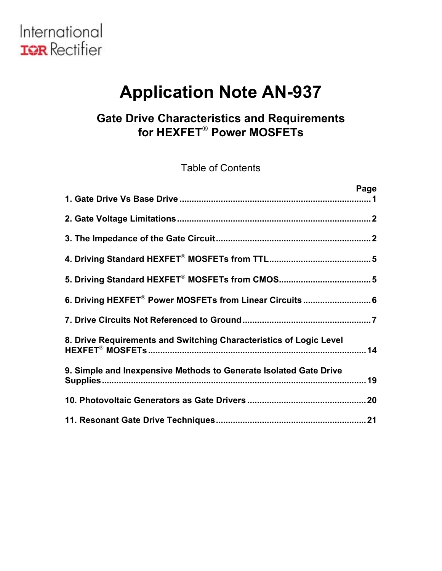# **Application Note AN-937**

# **Gate Drive Characteristics and Requirements for HEXFET Power MOSFETs**

Table of Contents

|                                                                    | Page |
|--------------------------------------------------------------------|------|
|                                                                    |      |
|                                                                    |      |
|                                                                    |      |
|                                                                    |      |
|                                                                    |      |
| 6. Driving HEXFET® Power MOSFETs from Linear Circuits 6            |      |
|                                                                    |      |
| 8. Drive Requirements and Switching Characteristics of Logic Level |      |
| 9. Simple and Inexpensive Methods to Generate Isolated Gate Drive  |      |
|                                                                    |      |
|                                                                    |      |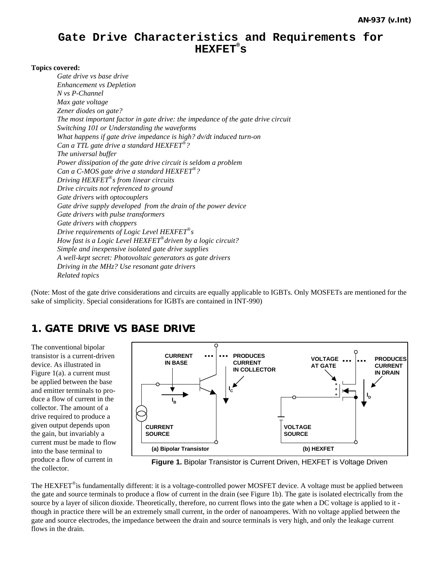### <span id="page-1-0"></span>**Gate Drive Characteristics and Requirements for HEXFET® s**

#### **Topics covered:**

*Gate drive vs base drive Enhancement vs Depletion N vs P-Channel Max gate voltage Zener diodes on gate? The most important factor in gate drive: the impedance of the gate drive circuit Switching 101 or Understanding the waveforms What happens if gate drive impedance is high? dv/dt induced turn-on Can a TTL gate drive a standard HEXFET®? The universal buffer Power dissipation of the gate drive circuit is seldom a problem Can a C-MOS gate drive a standard HEXFET®? Driving HEXFET®s from linear circuits Drive circuits not referenced to ground Gate drivers with optocouplers Gate drive supply developed from the drain of the power device Gate drivers with pulse transformers Gate drivers with choppers Drive requirements of Logic Level HEXFET®s How fast is a Logic Level HEXFET®driven by a logic circuit? Simple and inexpensive isolated gate drive supplies A well-kept secret: Photovoltaic generators as gate drivers Driving in the MHz? Use resonant gate drivers Related topics*

(Note: Most of the gate drive considerations and circuits are equally applicable to IGBTs. Only MOSFETs are mentioned for the sake of simplicity. Special considerations for IGBTs are contained in INT-990)

### *1. GATE DRIVE VS BASE DRIVE*

The conventional bipolar transistor is a current-driven device. As illustrated in Figure 1(a). a current must be applied between the base and emitter terminals to produce a flow of current in the collector. The amount of a drive required to produce a given output depends upon the gain, but invariably a current must be made to flow into the base terminal to produce a flow of current in the collector.



**Figure 1.** Bipolar Transistor is Current Driven, HEXFET is Voltage Driven

The HEXFET<sup>®</sup> is fundamentally different: it is a voltage-controlled power MOSFET device. A voltage must be applied between the gate and source terminals to produce a flow of current in the drain (see Figure 1b). The gate is isolated electrically from the source by a layer of silicon dioxide. Theoretically, therefore, no current flows into the gate when a DC voltage is applied to it though in practice there will be an extremely small current, in the order of nanoamperes. With no voltage applied between the gate and source electrodes, the impedance between the drain and source terminals is very high, and only the leakage current flows in the drain.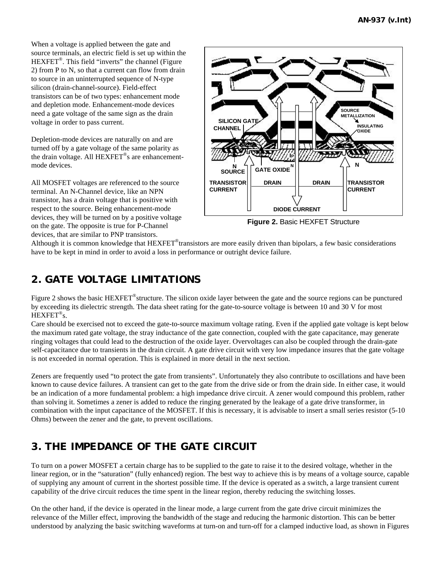<span id="page-2-0"></span>When a voltage is applied between the gate and source terminals, an electric field is set up within the HEXFET<sup>®</sup>. This field "inverts" the channel (Figure 2) from P to N, so that a current can flow from drain to source in an uninterrupted sequence of N-type silicon (drain-channel-source). Field-effect transistors can be of two types: enhancement mode and depletion mode. Enhancement-mode devices need a gate voltage of the same sign as the drain voltage in order to pass current.

Depletion-mode devices are naturally on and are turned off by a gate voltage of the same polarity as the drain voltage. All HEXFET<sup>®</sup>s are enhancementmode devices.

All MOSFET voltages are referenced to the source terminal. An N-Channel device, like an NPN transistor, has a drain voltage that is positive with respect to the source. Being enhancement-mode devices, they will be turned on by a positive voltage on the gate. The opposite is true for P-Channel devices, that are similar to PNP transistors.



**Figure 2.** Basic HEXFET Structure

Although it is common knowledge that  $HEXFET^*$  transistors are more easily driven than bipolars, a few basic considerations have to be kept in mind in order to avoid a loss in performance or outright device failure.

### *2. GATE VOLTAGE LIMITATIONS*

Figure 2 shows the basic HEXFET<sup>®</sup>structure. The silicon oxide layer between the gate and the source regions can be punctured by exceeding its dielectric strength. The data sheet rating for the gate-to-source voltage is between 10 and 30 V for most  $HEXFET^{\circledast}$ s.

Care should be exercised not to exceed the gate-to-source maximum voltage rating. Even if the applied gate voltage is kept below the maximum rated gate voltage, the stray inductance of the gate connection, coupled with the gate capacitance, may generate ringing voltages that could lead to the destruction of the oxide layer. Overvoltages can also be coupled through the drain-gate self-capacitance due to transients in the drain circuit. A gate drive circuit with very low impedance insures that the gate voltage is not exceeded in normal operation. This is explained in more detail in the next section.

Zeners are frequently used "to protect the gate from transients". Unfortunately they also contribute to oscillations and have been known to cause device failures. A transient can get to the gate from the drive side or from the drain side. In either case, it would be an indication of a more fundamental problem: a high impedance drive circuit. A zener would compound this problem, rather than solving it. Sometimes a zener is added to reduce the ringing generated by the leakage of a gate drive transformer, in combination with the input capacitance of the MOSFET. If this is necessary, it is advisable to insert a small series resistor (5-10 Ohms) between the zener and the gate, to prevent oscillations.

# *3. THE IMPEDANCE OF THE GATE CIRCUIT*

To turn on a power MOSFET a certain charge has to be supplied to the gate to raise it to the desired voltage, whether in the linear region, or in the "saturation" (fully enhanced) region. The best way to achieve this is by means of a voltage source, capable of supplying any amount of current in the shortest possible time. If the device is operated as a switch, a large transient current capability of the drive circuit reduces the time spent in the linear region, thereby reducing the switching losses.

On the other hand, if the device is operated in the linear mode, a large current from the gate drive circuit minimizes the relevance of the Miller effect, improving the bandwidth of the stage and reducing the harmonic distortion. This can be better understood by analyzing the basic switching waveforms at turn-on and turn-off for a clamped inductive load, as shown in Figures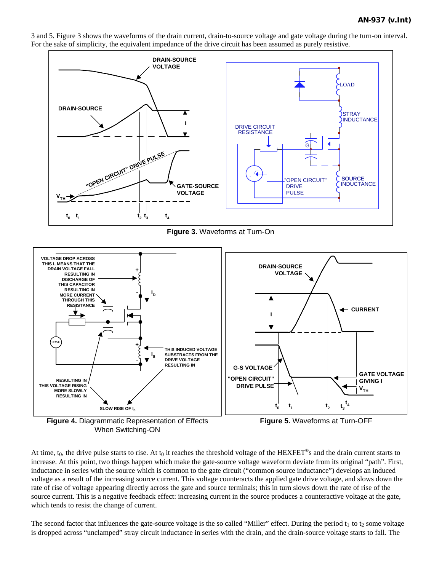

3 and 5. Figure 3 shows the waveforms of the drain current, drain-to-source voltage and gate voltage during the turn-on interval. For the sake of simplicity, the equivalent impedance of the drive circuit has been assumed as purely resistive.

**Figure 3.** Waveforms at Turn-On



When Switching-ON

At time,  $t_0$ , the drive pulse starts to rise. At  $t_0$  it reaches the threshold voltage of the HEXFET<sup>®</sup>s and the drain current starts to increase. At this point, two things happen which make the gate-source voltage waveform deviate from its original "path". First, inductance in series with the source which is common to the gate circuit ("common source inductance") develops an induced voltage as a result of the increasing source current. This voltage counteracts the applied gate drive voltage, and slows down the rate of rise of voltage appearing directly across the gate and source terminals; this in turn slows down the rate of rise of the source current. This is a negative feedback effect: increasing current in the source produces a counteractive voltage at the gate, which tends to resist the change of current.

The second factor that influences the gate-source voltage is the so called "Miller" effect. During the period  $t_1$  to  $t_2$  some voltage is dropped across "unclamped" stray circuit inductance in series with the drain, and the drain-source voltage starts to fall. The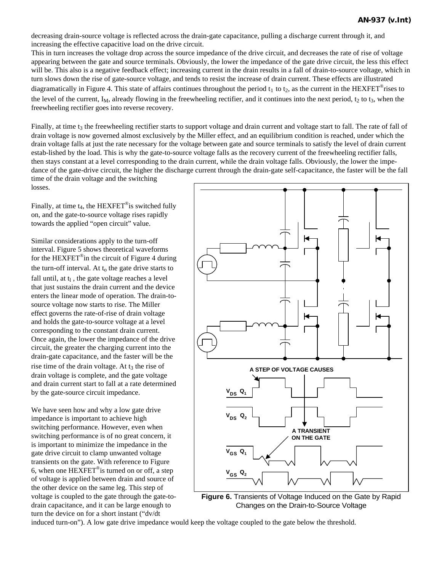decreasing drain-source voltage is reflected across the drain-gate capacitance, pulling a discharge current through it, and increasing the effective capacitive load on the drive circuit.

This in turn increases the voltage drop across the source impedance of the drive circuit, and decreases the rate of rise of voltage appearing between the gate and source terminals. Obviously, the lower the impedance of the gate drive circuit, the less this effect will be. This also is a negative feedback effect; increasing current in the drain results in a fall of drain-to-source voltage, which in turn slows down the rise of gate-source voltage, and tends to resist the increase of drain current. These effects are illustrated diagramatically in Figure 4. This state of affairs continues throughout the period  $t_1$  to  $t_2$ , as the current in the HEXFET<sup>®</sup>rises to the level of the current,  $I_M$ , already flowing in the freewheeling rectifier, and it continues into the next period,  $t_2$  to  $t_3$ , when the freewheeling rectifier goes into reverse recovery.

Finally, at time  $t_3$  the freewheeling rectifier starts to support voltage and drain current and voltage start to fall. The rate of fall of drain voltage is now governed almost exclusively by the Miller effect, and an equilibrium condition is reached, under which the drain voltage falls at just the rate necessary for the voltage between gate and source terminals to satisfy the level of drain current estab-lished by the load. This is why the gate-to-source voltage falls as the recovery current of the freewheeling rectifier falls, then stays constant at a level corresponding to the drain current, while the drain voltage falls. Obviously, the lower the impedance of the gate-drive circuit, the higher the discharge current through the drain-gate self-capacitance, the faster will be the fall time of the drain voltage and the switching

losses.

Finally, at time  $t_4$ , the HEXFET<sup>®</sup> is switched fully on, and the gate-to-source voltage rises rapidly towards the applied "open circuit" value.

Similar considerations apply to the turn-off interval. Figure 5 shows theoretical waveforms for the  $HEXFET^{\circledast}$  in the circuit of Figure 4 during the turn-off interval. At  $t_0$  the gate drive starts to fall until, at  $t_1$ , the gate voltage reaches a level that just sustains the drain current and the device enters the linear mode of operation. The drain-tosource voltage now starts to rise. The Miller effect governs the rate-of-rise of drain voltage and holds the gate-to-source voltage at a level corresponding to the constant drain current. Once again, the lower the impedance of the drive circuit, the greater the charging current into the drain-gate capacitance, and the faster will be the rise time of the drain voltage. At  $t_3$  the rise of drain voltage is complete, and the gate voltage and drain current start to fall at a rate determined by the gate-source circuit impedance.

We have seen how and why a low gate drive impedance is important to achieve high switching performance. However, even when switching performance is of no great concern, it is important to minimize the impedance in the gate drive circuit to clamp unwanted voltage transients on the gate. With reference to Figure 6, when one HEXFET®is turned on or off, a step of voltage is applied between drain and source of the other device on the same leg. This step of voltage is coupled to the gate through the gate-todrain capacitance, and it can be large enough to turn the device on for a short instant ("dv/dt



Changes on the Drain-to-Source Voltage

induced turn-on"). A low gate drive impedance would keep the voltage coupled to the gate below the threshold.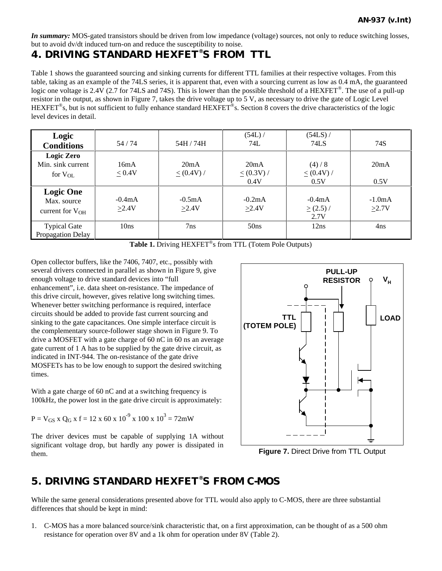<span id="page-5-0"></span>*In summary:* MOS-gated transistors should be driven from low impedance (voltage) sources, not only to reduce switching losses, but to avoid dv/dt induced turn-on and reduce the susceptibility to noise.

# *4. DRIVING STANDARD HEXFET® S FROM TTL*

Table 1 shows the guaranteed sourcing and sinking currents for different TTL families at their respective voltages. From this table, taking as an example of the 74LS series, it is apparent that, even with a sourcing current as low as 0.4 mA, the guaranteed logic one voltage is 2.4V (2.7 for 74LS and 74S). This is lower than the possible threshold of a HEXFET<sup>®</sup>. The use of a pull-up resistor in the output, as shown in Figure 7, takes the drive voltage up to 5 V, as necessary to drive the gate of Logic Level HEXFET®s, but is not sufficient to fully enhance standard HEXFET®s. Section 8 covers the drive characteristics of the logic level devices in detail.

| Logic<br><b>Conditions</b>                              | 54 / 74           | 54H / 74H           | $(54L)$ /<br>74L                | $(54LS)$ /<br>74LS                 | 74S               |
|---------------------------------------------------------|-------------------|---------------------|---------------------------------|------------------------------------|-------------------|
| Logic Zero<br>Min. sink current<br>for $V_{OL}$         | 16mA<br>< 0.4V    | 20mA<br>< (0.4 V) / | 20mA<br>$\leq$ (0.3V) /<br>0.4V | (4) / 8<br>$\leq$ (0.4V) /<br>0.5V | 20mA<br>0.5V      |
| <b>Logic One</b><br>Max. source<br>current for $V_{OH}$ | $-0.4mA$<br>>2.4V | $-0.5mA$<br>>2.4V   | $-0.2mA$<br>>2.4V               | $-0.4mA$<br>$\geq$ (2.5) /<br>2.7V | $-1.0mA$<br>>2.7V |
| <b>Typical Gate</b><br>Propagation Delay                | 10ns              | 7ns                 | 50ns                            | 12ns                               | 4ns               |

Table 1. Driving HEXFET<sup>®</sup>s from TTL (Totem Pole Outputs)

Open collector buffers, like the 7406, 7407, etc., possibly with several drivers connected in parallel as shown in Figure 9, give enough voltage to drive standard devices into "full enhancement", i.e. data sheet on-resistance. The impedance of this drive circuit, however, gives relative long switching times. Whenever better switching performance is required, interface circuits should be added to provide fast current sourcing and sinking to the gate capacitances. One simple interface circuit is the complementary source-follower stage shown in Figure 9. To drive a MOSFET with a gate charge of 60 nC in 60 ns an average gate current of 1 A has to be supplied by the gate drive circuit, as indicated in INT-944. The on-resistance of the gate drive MOSFETs has to be low enough to support the desired switching times.

With a gate charge of 60 nC and at a switching frequency is 100kHz, the power lost in the gate drive circuit is approximately:

 $P = V_{GS}$  x  $Q_G$  x f = 12 x 60 x 10<sup>-9</sup> x 100 x 10<sup>3</sup> = 72mW

The driver devices must be capable of supplying 1A without significant voltage drop, but hardly any power is dissipated in them.



**Figure 7.** Direct Drive from TTL Output

# *5. DRIVING STANDARD HEXFET® S FROM C-MOS*

While the same general considerations presented above for TTL would also apply to C-MOS, there are three substantial differences that should be kept in mind:

1. C-MOS has a more balanced source/sink characteristic that, on a first approximation, can be thought of as a 500 ohm resistance for operation over 8V and a 1k ohm for operation under 8V (Table 2).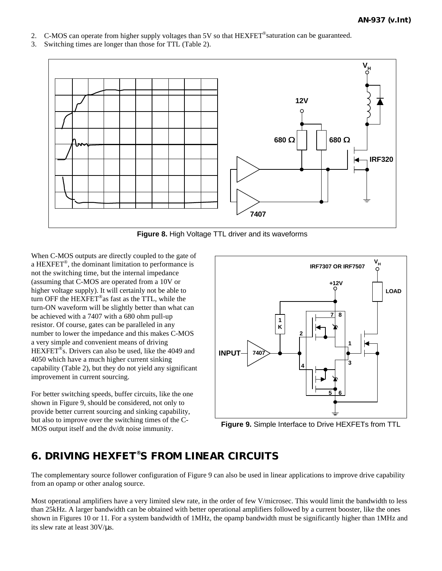- <span id="page-6-0"></span>2. C-MOS can operate from higher supply voltages than 5V so that HEXFET<sup>®</sup>saturation can be guaranteed.
- 3. Switching times are longer than those for TTL (Table 2).



**Figure 8.** High Voltage TTL driver and its waveforms

When C-MOS outputs are directly coupled to the gate of a HEXFET®, the dominant limitation to performance is not the switching time, but the internal impedance (assuming that C-MOS are operated from a 10V or higher voltage supply). It will certainly not be able to turn OFF the HEXFET®as fast as the TTL, while the turn-ON waveform will be slightly better than what can be achieved with a 7407 with a 680 ohm pull-up resistor. Of course, gates can be paralleled in any number to lower the impedance and this makes C-MOS a very simple and convenient means of driving HEXFET<sup>®</sup>s. Drivers can also be used, like the 4049 and 4050 which have a much higher current sinking capability (Table 2), but they do not yield any significant improvement in current sourcing.

For better switching speeds, buffer circuits, like the one shown in Figure 9, should be considered, not only to provide better current sourcing and sinking capability, but also to improve over the switching times of the C-MOS output itself and the dv/dt noise immunity.



**Figure 9.** Simple Interface to Drive HEXFETs from TTL

### *6. DRIVING HEXFET® S FROM LINEAR CIRCUITS*

The complementary source follower configuration of Figure 9 can also be used in linear applications to improve drive capability from an opamp or other analog source.

Most operational amplifiers have a very limited slew rate, in the order of few V/microsec. This would limit the bandwidth to less than 25kHz. A larger bandwidth can be obtained with better operational amplifiers followed by a current booster, like the ones shown in Figures 10 or 11. For a system bandwidth of 1MHz, the opamp bandwidth must be significantly higher than 1MHz and its slew rate at least 30V/µs.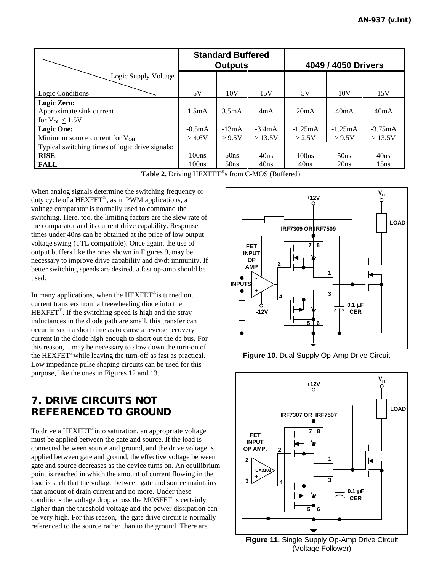<span id="page-7-0"></span>

|                                                 |          | <b>Standard Buffered</b><br><b>Outputs</b> |          | 4049 / 4050 Drivers |           |           |  |  |  |
|-------------------------------------------------|----------|--------------------------------------------|----------|---------------------|-----------|-----------|--|--|--|
| Logic Supply Voltage                            |          |                                            |          |                     |           |           |  |  |  |
| Logic Conditions                                | 5V       | 10V                                        | 15V      | 5V                  | 10V       | 15V       |  |  |  |
| Logic Zero:                                     |          |                                            |          |                     |           |           |  |  |  |
| Approximate sink current                        | 1.5mA    | 3.5mA                                      | 4mA      | 20mA                | 40mA      | 40mA      |  |  |  |
| for $V_{OL}$ < 1.5V                             |          |                                            |          |                     |           |           |  |  |  |
| <b>Logic One:</b>                               | $-0.5mA$ | $-13mA$                                    | $-3.4mA$ | $-1.25mA$           | $-1.25mA$ | $-3.75mA$ |  |  |  |
| Minimum source current for $V_{OH}$             | $>$ 4.6V | > 9.5V                                     | > 13.5V  | >2.5V               | > 9.5V    | > 13.5V   |  |  |  |
| Typical switching times of logic drive signals: |          |                                            |          |                     |           |           |  |  |  |
| <b>RISE</b>                                     | 100ns    | 50ns                                       | 40ns     | 100ns               | 50ns      | 40ns      |  |  |  |
| <b>FALL</b>                                     | 100ns    | 50ns                                       | 40ns     | 40ns                | 20ns      | 15ns      |  |  |  |

Table 2. Driving HEXFET<sup>®</sup>s from C-MOS (Buffered)

When analog signals determine the switching frequency or duty cycle of a HEXFET®, as in PWM applications, a voltage comparator is normally used to command the switching. Here, too, the limiting factors are the slew rate of the comparator and its current drive capability. Response times under 40ns can be obtained at the price of low output voltage swing (TTL compatible). Once again, the use of output buffers like the ones shown in Figures 9, may be necessary to improve drive capability and dv/dt immunity. If better switching speeds are desired. a fast op-amp should be used.

In many applications, when the  $HEXFET^{\circledast}$  is turned on, current transfers from a freewheeling diode into the  $HEXFET^*$ . If the switching speed is high and the stray inductances in the diode path are small, this transfer can occur in such a short time as to cause a reverse recovery current in the diode high enough to short out the dc bus. For this reason, it may be necessary to slow down the turn-on of the HEXFET®while leaving the turn-off as fast as practical. Low impedance pulse shaping circuits can be used for this purpose, like the ones in Figures 12 and 13.

# *7. DRIVE CIRCUITS NOT REFERENCED TO GROUND*

To drive a HEXFET<sup>®</sup>into saturation, an appropriate voltage must be applied between the gate and source. If the load is connected between source and ground, and the drive voltage is applied between gate and ground, the effective voltage between gate and source decreases as the device turns on. An equilibrium point is reached in which the amount of current flowing in the load is such that the voltage between gate and source maintains that amount of drain current and no more. Under these conditions the voltage drop across the MOSFET is certainly higher than the threshold voltage and the power dissipation can be very high. For this reason, the gate drive circuit is normally referenced to the source rather than to the ground. There are



**Figure 10.** Dual Supply Op-Amp Drive Circuit



(Voltage Follower)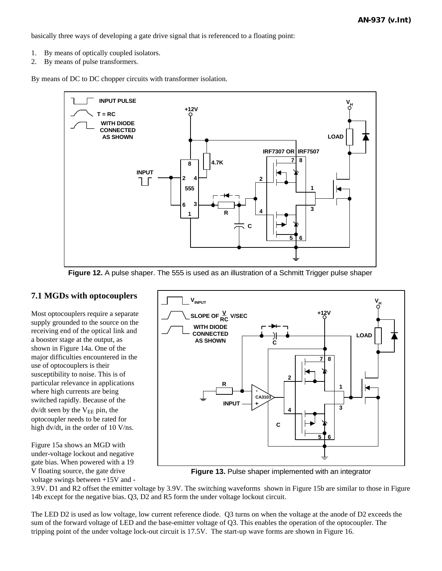basically three ways of developing a gate drive signal that is referenced to a floating point:

- 1. By means of optically coupled isolators.
- 2. By means of pulse transformers.

By means of DC to DC chopper circuits with transformer isolation.



**Figure 12.** A pulse shaper. The 555 is used as an illustration of a Schmitt Trigger pulse shaper

#### **7.1 MGDs with optocouplers**

Most optocouplers require a separate supply grounded to the source on the receiving end of the optical link and a booster stage at the output, as shown in Figure 14a. One of the major difficulties encountered in the use of optocouplers is their susceptibility to noise. This is of particular relevance in applications where high currents are being switched rapidly. Because of the  $dv/dt$  seen by the  $V_{EE}$  pin, the optocoupler needs to be rated for high dv/dt, in the order of 10 V/ns.

Figure 15a shows an MGD with under-voltage lockout and negative gate bias. When powered with a 19 V floating source, the gate drive voltage swings between +15V and -



**Figure 13.** Pulse shaper implemented with an integrator

3.9V. D1 and R2 offset the emitter voltage by 3.9V. The switching waveforms shown in Figure 15b are similar to those in Figure 14b except for the negative bias. Q3, D2 and R5 form the under voltage lockout circuit.

The LED D2 is used as low voltage, low current reference diode. Q3 turns on when the voltage at the anode of D2 exceeds the sum of the forward voltage of LED and the base-emitter voltage of Q3. This enables the operation of the optocoupler. The tripping point of the under voltage lock-out circuit is 17.5V. The start-up wave forms are shown in Figure 16.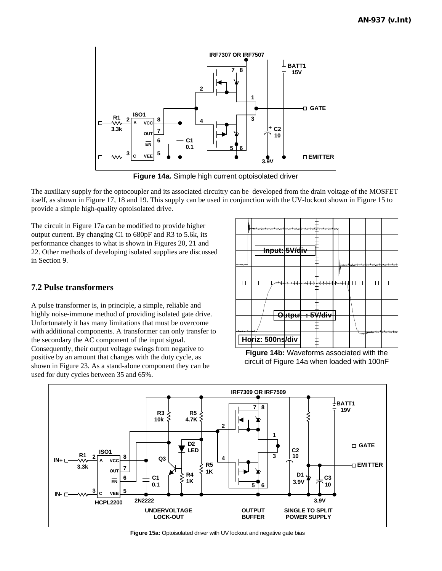

**Figure 14a.** Simple high current optoisolated driver

The auxiliary supply for the optocoupler and its associated circuitry can be developed from the drain voltage of the MOSFET itself, as shown in Figure 17, 18 and 19. This supply can be used in conjunction with the UV-lockout shown in Figure 15 to provide a simple high-quality optoisolated drive.

The circuit in Figure 17a can be modified to provide higher output current. By changing C1 to 680pF and R3 to 5.6k, its performance changes to what is shown in Figures 20, 21 and 22. Other methods of developing isolated supplies are discussed in Section 9.

#### **7.2 Pulse transformers**

A pulse transformer is, in principle, a simple, reliable and highly noise-immune method of providing isolated gate drive. Unfortunately it has many limitations that must be overcome with additional components. A transformer can only transfer to the secondary the AC component of the input signal. Consequently, their output voltage swings from negative to positive by an amount that changes with the duty cycle, as shown in Figure 23. As a stand-alone component they can be used for duty cycles between 35 and 65%.







**Figure 15a:** Optoisolated driver with UV lockout and negative gate bias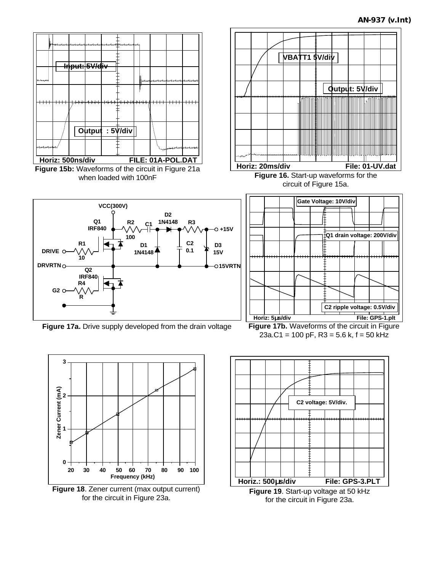

**Figure 18**. Zener current (max output current) **8.** Zener current (max output current) **Figure 19**. Start-up voltage at 50 kHz for the circuit in Figure 23a.

for the circuit in Figure 23a.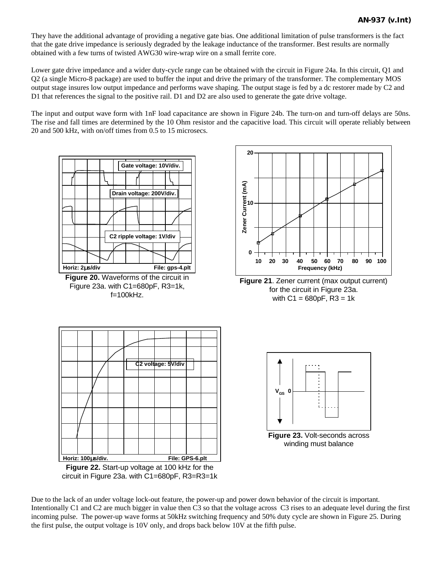They have the additional advantage of providing a negative gate bias. One additional limitation of pulse transformers is the fact that the gate drive impedance is seriously degraded by the leakage inductance of the transformer. Best results are normally obtained with a few turns of twisted AWG30 wire-wrap wire on a small ferrite core.

Lower gate drive impedance and a wider duty-cycle range can be obtained with the circuit in Figure 24a. In this circuit, O1 and Q2 (a single Micro-8 package) are used to buffer the input and drive the primary of the transformer. The complementary MOS output stage insures low output impedance and performs wave shaping. The output stage is fed by a dc restorer made by C2 and D1 that references the signal to the positive rail. D1 and D2 are also used to generate the gate drive voltage.

The input and output wave form with 1nF load capacitance are shown in Figure 24b. The turn-on and turn-off delays are 50ns. The rise and fall times are determined by the 10 Ohm resistor and the capacitive load. This circuit will operate reliably between 20 and 500 kHz, with on/off times from 0.5 to 15 microsecs.



Due to the lack of an under voltage lock-out feature, the power-up and power down behavior of the circuit is important. Intentionally C1 and C2 are much bigger in value then C3 so that the voltage across C3 rises to an adequate level during the first incoming pulse. The power-up wave forms at 50kHz switching frequency and 50% duty cycle are shown in Figure 25. During the first pulse, the output voltage is 10V only, and drops back below 10V at the fifth pulse.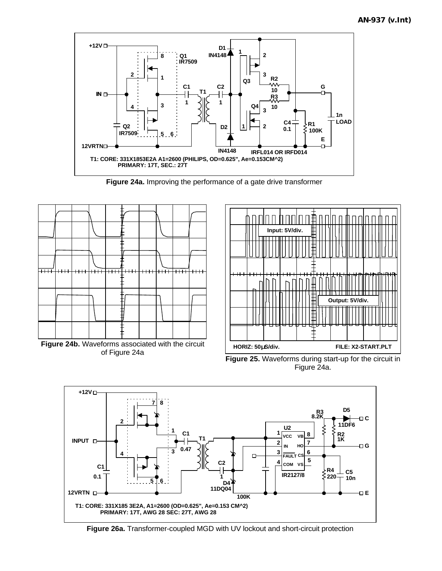

**Figure 24a.** Improving the performance of a gate drive transformer



**Figure 24b.** Waveforms associated with the circuit of Figure 24a



**Figure 25.** Waveforms during start-up for the circuit in Figure 24a.



**Figure 26a.** Transformer-coupled MGD with UV lockout and short-circuit protection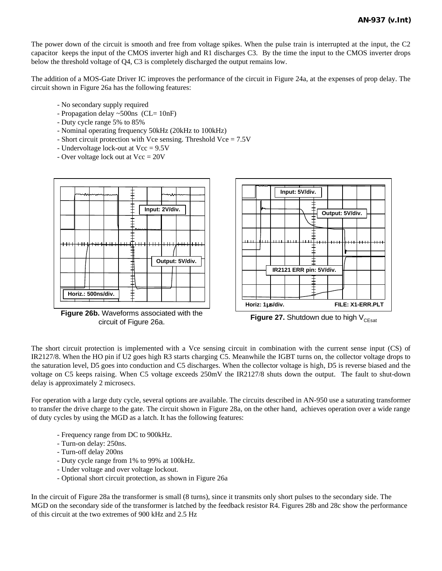The power down of the circuit is smooth and free from voltage spikes. When the pulse train is interrupted at the input, the C2 capacitor keeps the input of the CMOS inverter high and R1 discharges C3. By the time the input to the CMOS inverter drops below the threshold voltage of Q4, C3 is completely discharged the output remains low.

The addition of a MOS-Gate Driver IC improves the performance of the circuit in Figure 24a, at the expenses of prop delay. The circuit shown in Figure 26a has the following features:

- No secondary supply required
- Propagation delay ~500ns (CL= 10nF)
- Duty cycle range 5% to 85%
- Nominal operating frequency 50kHz (20kHz to 100kHz)
- Short circuit protection with Vce sensing. Threshold Vce  $= 7.5V$
- Undervoltage lock-out at Vcc = 9.5V
- Over voltage lock out at Vcc = 20V



circuit of Figure 26a.



The short circuit protection is implemented with a Vce sensing circuit in combination with the current sense input (CS) of IR2127/8. When the HO pin if U2 goes high R3 starts charging C5. Meanwhile the IGBT turns on, the collector voltage drops to the saturation level, D5 goes into conduction and C5 discharges. When the collector voltage is high, D5 is reverse biased and the voltage on C5 keeps raising. When C5 voltage exceeds 250mV the IR2127/8 shuts down the output. The fault to shut-down delay is approximately 2 microsecs.

For operation with a large duty cycle, several options are available. The circuits described in AN-950 use a saturating transformer to transfer the drive charge to the gate. The circuit shown in Figure 28a, on the other hand, achieves operation over a wide range of duty cycles by using the MGD as a latch. It has the following features:

- Frequency range from DC to 900kHz.
- Turn-on delay: 250ns.
- Turn-off delay 200ns
- Duty cycle range from 1% to 99% at 100kHz.
- Under voltage and over voltage lockout.
- Optional short circuit protection, as shown in Figure 26a

In the circuit of Figure 28a the transformer is small (8 turns), since it transmits only short pulses to the secondary side. The MGD on the secondary side of the transformer is latched by the feedback resistor R4. Figures 28b and 28c show the performance of this circuit at the two extremes of 900 kHz and 2.5 Hz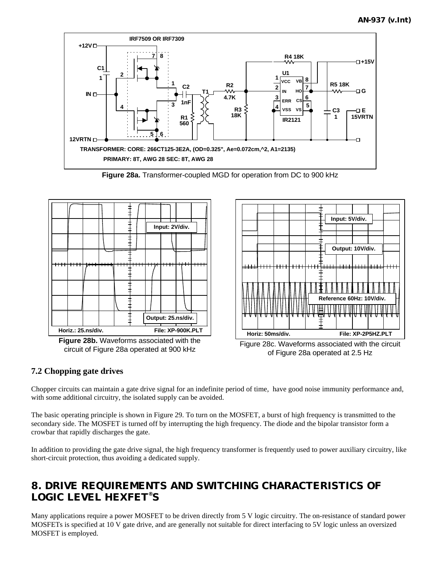<span id="page-14-0"></span>

**Figure 28a.** Transformer-coupled MGD for operation from DC to 900 kHz



## **7.2 Chopping gate drives**

Chopper circuits can maintain a gate drive signal for an indefinite period of time, have good noise immunity performance and, with some additional circuitry, the isolated supply can be avoided.

The basic operating principle is shown in Figure 29. To turn on the MOSFET, a burst of high frequency is transmitted to the secondary side. The MOSFET is turned off by interrupting the high frequency. The diode and the bipolar transistor form a crowbar that rapidly discharges the gate.

In addition to providing the gate drive signal, the high frequency transformer is frequently used to power auxiliary circuitry, like short-circuit protection, thus avoiding a dedicated supply.

### *8. DRIVE REQUIREMENTS AND SWITCHING CHARACTERISTICS OF LOGIC LEVEL HEXFET® S*

Many applications require a power MOSFET to be driven directly from 5 V logic circuitry. The on-resistance of standard power MOSFETs is specified at 10 V gate drive, and are generally not suitable for direct interfacing to 5V logic unless an oversized MOSFET is employed.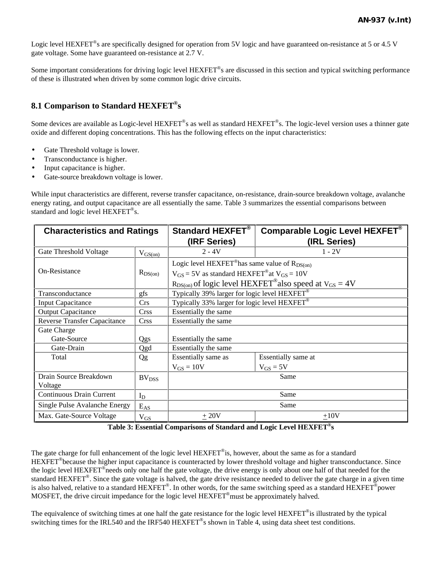Logic level HEXFET<sup>®</sup>s are specifically designed for operation from 5V logic and have guaranteed on-resistance at 5 or 4.5 V gate voltage. Some have guaranteed on-resistance at 2.7 V.

Some important considerations for driving logic level HEXFET<sup>®</sup>s are discussed in this section and typical switching performance of these is illustrated when driven by some common logic drive circuits.

### **8.1 Comparison to Standard HEXFET®s**

Some devices are available as Logic-level  $HEXFET^{\circledast}$ s as well as standard  $HEXFET^{\circledast}$ s. The logic-level version uses a thinner gate oxide and different doping concentrations. This has the following effects on the input characteristics:

- Gate Threshold voltage is lower.
- Transconductance is higher.
- Input capacitance is higher.
- Gate-source breakdown voltage is lower.

While input characteristics are different, reverse transfer capacitance, on-resistance, drain-source breakdown voltage, avalanche energy rating, and output capacitance are all essentially the same. Table 3 summarizes the essential comparisons between standard and logic level HEXFET<sup>®</sup>s.

| <b>Characteristics and Ratings</b>  |                         | Standard HEXFET <sup>®</sup>                                                | Comparable Logic Level HEXFET® |  |  |  |  |  |  |
|-------------------------------------|-------------------------|-----------------------------------------------------------------------------|--------------------------------|--|--|--|--|--|--|
|                                     |                         | (IRF Series)                                                                | (IRL Series)                   |  |  |  |  |  |  |
| Gate Threshold Voltage              | $V_{GS(0n)}$            | $2 - 4V$                                                                    | $1 - 2V$                       |  |  |  |  |  |  |
|                                     |                         | Logic level $HEXFET^{\circledast}$ has same value of $R_{DS(on)}$           |                                |  |  |  |  |  |  |
| On-Resistance                       | $R_{DS(on)}$            | $V_{GS}$ = 5V as standard HEXFET <sup>®</sup> at $V_{GS}$ = 10V             |                                |  |  |  |  |  |  |
|                                     |                         | $R_{DS(on)}$ of logic level HEXFET <sup>®</sup> also speed at $V_{GS} = 4V$ |                                |  |  |  |  |  |  |
| Transconductance                    | gfs                     | Typically 39% larger for logic level HEXFET®                                |                                |  |  |  |  |  |  |
| <b>Input Capacitance</b>            | Crs                     | Typically 33% larger for logic level HEXFET®                                |                                |  |  |  |  |  |  |
| <b>Output Capacitance</b>           | <b>Crss</b>             | Essentially the same                                                        |                                |  |  |  |  |  |  |
| <b>Reverse Transfer Capacitance</b> | <b>Crss</b>             | Essentially the same                                                        |                                |  |  |  |  |  |  |
| Gate Charge                         |                         |                                                                             |                                |  |  |  |  |  |  |
| Gate-Source                         | Qgs                     | Essentially the same                                                        |                                |  |  |  |  |  |  |
| Gate-Drain                          | Qgd                     | Essentially the same                                                        |                                |  |  |  |  |  |  |
| Total                               | Qg                      | Essentially same as                                                         | Essentially same at            |  |  |  |  |  |  |
|                                     |                         | $V_{GS} = 10V$                                                              | $V_{GS} = 5V$                  |  |  |  |  |  |  |
| Drain Source Breakdown              | <b>BV<sub>DSS</sub></b> |                                                                             | Same                           |  |  |  |  |  |  |
| Voltage                             |                         |                                                                             |                                |  |  |  |  |  |  |
| Continuous Drain Current            | $I_D$                   | Same                                                                        |                                |  |  |  |  |  |  |
| Single Pulse Avalanche Energy       | $E_{AS}$                | Same                                                                        |                                |  |  |  |  |  |  |
| Max. Gate-Source Voltage            | ${\rm V_{GS}}$          | $+20V$                                                                      | $+10V$                         |  |  |  |  |  |  |

**Table 3: Essential Comparisons of Standard and Logic Level HEXFET®s**

The gate charge for full enhancement of the logic level HEXFET<sup>®</sup>is, however, about the same as for a standard HEXFET®because the higher input capacitance is counteracted by lower threshold voltage and higher transconductance. Since the logic level HEXFET<sup>®</sup>needs only one half the gate voltage, the drive energy is only about one half of that needed for the standard HEXFET®. Since the gate voltage is halved, the gate drive resistance needed to deliver the gate charge in a given time is also halved, relative to a standard HEXFET®. In other words, for the same switching speed as a standard HEXFET®power MOSFET, the drive circuit impedance for the logic level HEXFET®must be approximately halved.

The equivalence of switching times at one half the gate resistance for the logic level  $HEXFET<sup>®</sup>$  is illustrated by the typical switching times for the IRL540 and the IRF540 HEXFET<sup>®</sup>s shown in Table 4, using data sheet test conditions.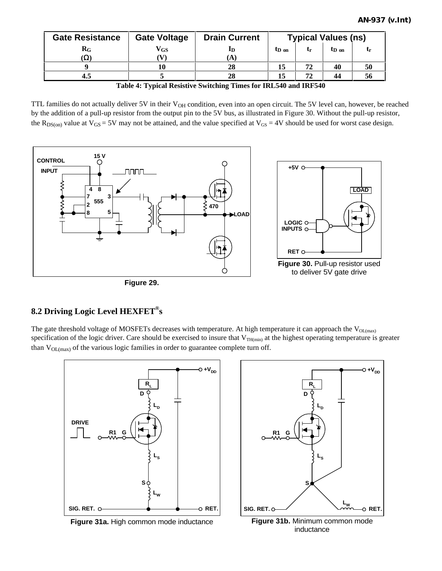| <b>Gate Resistance</b> | <b>Gate Voltage</b> | <b>Drain Current</b> | <b>Typical Values (ns)</b> |    |                         |    |  |  |  |
|------------------------|---------------------|----------------------|----------------------------|----|-------------------------|----|--|--|--|
| $R_G$                  | $\mathrm{v_{GS}}$   | 1D                   | $t_{\rm D \text{ on }}$    | եր | $t_{\rm D \text{ on }}$ |    |  |  |  |
| $(\Omega)$             |                     | ۱A                   |                            |    |                         |    |  |  |  |
|                        |                     | 28                   | 15                         | 72 | 40                      |    |  |  |  |
| 4.5                    |                     | 28                   | 15                         | 72 | 44                      | 30 |  |  |  |

**Table 4: Typical Resistive Switching Times for IRL540 and IRF540**

TTL families do not actually deliver 5V in their  $V_{OH}$  condition, even into an open circuit. The 5V level can, however, be reached by the addition of a pull-up resistor from the output pin to the 5V bus, as illustrated in Figure 30. Without the pull-up resistor, the  $R_{DS(on)}$  value at  $V_{GS} = 5V$  may not be attained, and the value specified at  $V_{GS} = 4V$  should be used for worst case design.



### **8.2 Driving Logic Level HEXFET®s**

The gate threshold voltage of MOSFETs decreases with temperature. At high temperature it can approach the  $V_{OL(max)}$ specification of the logic driver. Care should be exercised to insure that  $V<sub>TH(min)</sub>$  at the highest operating temperature is greater than  $V_{OL(max)}$  of the various logic families in order to guarantee complete turn off.



**Figure 31a.** High common mode inductance



inductance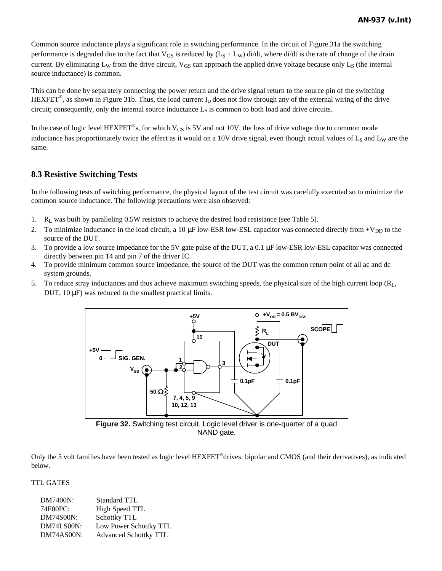Common source inductance plays a significant role in switching performance. In the circuit of Figure 31a the switching performance is degraded due to the fact that  $V_{GS}$  is reduced by  $(L_S + L_W)$  di/dt, where di/dt is the rate of change of the drain current. By eliminating L<sub>W</sub> from the drive circuit,  $V_{GS}$  can approach the applied drive voltage because only L<sub>S</sub> (the internal source inductance) is common.

This can be done by separately connecting the power return and the drive signal return to the source pin of the switching  $HEXFET^{\circ}$ , as shown in Figure 31b. Thus, the load current  $I_D$  does not flow through any of the external wiring of the drive circuit; consequently, only the internal source inductance  $L<sub>S</sub>$  is common to both load and drive circuits.

In the case of logic level HEXFET<sup>®</sup>s, for which  $V_{GS}$  is 5V and not 10V, the loss of drive voltage due to common mode inductance has proportionately twice the effect as it would on a 10V drive signal, even though actual values of  $L_s$  and  $L_w$  are the same.

#### **8.3 Resistive Switching Tests**

In the following tests of switching performance, the physical layout of the test circuit was carefully executed so to minimize the common source inductance. The following precautions were also observed:

- 1. RL was built by paralleling 0.5W resistors to achieve the desired load resistance (see Table 5).
- 2. To minimize inductance in the load circuit, a 10  $\mu$ F low-ESR low-ESL capacitor was connected directly from +V<sub>DD</sub> to the source of the DUT.
- 3. To provide a low source impedance for the 5V gate pulse of the DUT, a 0.1 µF low-ESR low-ESL capacitor was connected directly between pin 14 and pin 7 of the driver IC.
- 4. To provide minimum common source impedance, the source of the DUT was the common return point of all ac and dc system grounds.
- 5. To reduce stray inductances and thus achieve maximum switching speeds, the physical size of the high current loop (RL, DUT,  $10 \mu$ F) was reduced to the smallest practical limits.





Only the 5 volt families have been tested as logic level HEXFET®drives: bipolar and CMOS (and their derivatives), as indicated below.

#### TTL GATES

| DM7400N:         | <b>Standard TTL</b>          |
|------------------|------------------------------|
| 74F00PC:         | High Speed TTL               |
| <b>DM74S00N:</b> | <b>Schottky TTL</b>          |
| DM74LS00N:       | Low Power Schottky TTL       |
| DM74AS00N:       | <b>Advanced Schottky TTL</b> |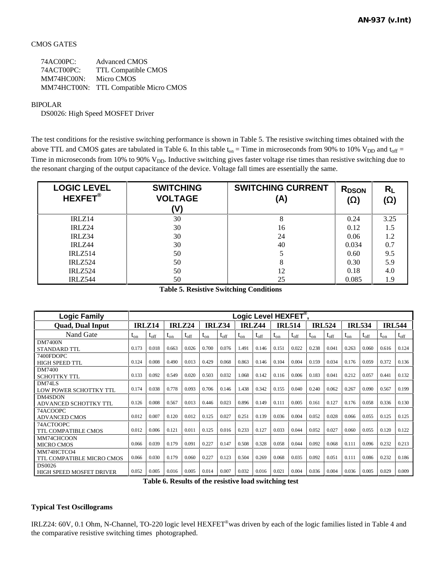#### CMOS GATES

| 74AC00PC:  | <b>Advanced CMOS</b>                  |
|------------|---------------------------------------|
| 74ACT00PC: | TTL Compatible CMOS                   |
| MM74HC00N: | Micro CMOS                            |
|            | MM74HCT00N: TTL Compatible Micro CMOS |

#### BIPOLAR

DS0026: High Speed MOSFET Driver

The test conditions for the resistive switching performance is shown in Table 5. The resistive switching times obtained with the above TTL and CMOS gates are tabulated in Table 6. In this table  $t_{on}$  = Time in microseconds from 90% to 10% V<sub>DD</sub> and  $t_{off}$  = Time in microseconds from 10% to 90% V<sub>DD</sub>. Inductive switching gives faster voltage rise times than resistive switching due to the resonant charging of the output capacitance of the device. Voltage fall times are essentially the same.

| <b>LOGIC LEVEL</b><br>$HEXFET^{\circledR}$ | <b>SWITCHING</b><br><b>VOLTAGE</b><br>V) | <b>SWITCHING CURRENT</b><br>(A) | R <sub>DSON</sub><br>(Ω) | $\mathsf{R}_{\mathsf{L}}$<br>$(\Omega)$ |
|--------------------------------------------|------------------------------------------|---------------------------------|--------------------------|-----------------------------------------|
| IRLZ14                                     | 30                                       |                                 | 0.24                     | 3.25                                    |
| IRLZ24                                     | 30                                       | 16                              | 0.12                     | 1.5                                     |
| IRLZ34                                     | 30                                       | 24                              | 0.06                     | 1.2                                     |
| IRLZ44                                     | 30                                       | 40                              | 0.034                    | 0.7                                     |
| IRLZ514                                    | 50                                       |                                 | 0.60                     | 9.5                                     |
| IRLZ524                                    | 50                                       |                                 | 0.30                     | 5.9                                     |
| IRLZ524                                    | 50                                       | 12                              | 0.18                     | 4.0                                     |
| IRLZ544                                    | 50                                       | 25                              | 0.085                    | 1.9                                     |

**Table 5. Resistive Switching Conditions**

| Logic Family                    | Logic Level HEXFET <sup>®</sup> . |           |          |               |          |               |          |               |          |               |          |               |          |               |          |               |  |
|---------------------------------|-----------------------------------|-----------|----------|---------------|----------|---------------|----------|---------------|----------|---------------|----------|---------------|----------|---------------|----------|---------------|--|
| <b>Ouad, Dual Input</b>         |                                   | IRLZ14    |          | IRLZ24        |          | IRLZ34        |          | IRLZ44        |          | <b>IRL514</b> |          | <b>IRL524</b> |          | <b>IRL534</b> |          | <b>IRL544</b> |  |
| Nand Gate                       | $t_{on}$                          | $t_{off}$ | $t_{on}$ | $t_{\rm off}$ | $t_{on}$ | $t_{\rm off}$ | $t_{on}$ | $t_{\rm off}$ | $t_{on}$ | $t_{off}$     | $t_{on}$ | $t_{off}$     | $t_{on}$ | $t_{off}$     | $t_{on}$ | $t_{\rm off}$ |  |
| <b>DM7400N</b>                  |                                   |           |          |               |          |               |          |               |          |               |          |               |          |               |          |               |  |
| <b>STANDARD TTL</b>             | 0.173                             | 0.018     | 0.663    | 0.026         | 0.700    | 0.076         | 1.491    | 0.146         | 0.151    | 0.022         | 0.238    | 0.041         | 0.263    | 0.060         | 0.616    | 0.124         |  |
| 7400FDOPC                       |                                   |           |          |               |          |               |          |               |          |               |          |               |          |               |          |               |  |
| <b>HIGH SPEED TTL</b>           | 0.124                             | 0.008     | 0.490    | 0.013         | 0.429    | 0.068         | 0.863    | 0.146         | 0.104    | 0.004         | 0.159    | 0.034         | 0.176    | 0.059         | 0.372    | 0.136         |  |
| DM7400                          |                                   |           |          |               |          |               |          |               |          |               |          |               |          |               |          |               |  |
| <b>SCHOTTKY TTL</b>             | 0.133                             | 0.092     | 0.549    | 0.020         | 0.503    | 0.032         | 1.068    | 0.142         | 0.116    | 0.006         | 0.183    | 0.041         | 0.212    | 0.057         | 0.441    | 0.132         |  |
| DM74LS                          |                                   |           |          |               |          |               |          |               |          |               |          |               |          |               |          |               |  |
| <b>LOW POWER SCHOTTKY TTL</b>   | 0.174                             | 0.038     | 0.778    | 0.093         | 0.706    | 0.146         | 1.438    | 0.342         | 0.155    | 0.040         | 0.240    | 0.062         | 0.267    | 0.090         | 0.567    | 0.199         |  |
| DM4SDON                         |                                   |           |          |               |          |               |          |               |          |               |          |               |          |               |          |               |  |
| ADVANCED SCHOTTKY TTL           | 0.126                             | 0.008     | 0.567    | 0.013         | 0.446    | 0.023         | 0.896    | 0.149         | 0.111    | 0.005         | 0.161    | 0.127         | 0.176    | 0.058         | 0.336    | 0.130         |  |
| 74ACOOPC                        |                                   |           |          |               |          |               |          |               |          |               |          |               |          |               |          |               |  |
| <b>ADVANCED CMOS</b>            | 0.012                             | 0.007     | 0.120    | 0.012         | 0.125    | 0.027         | 0.251    | 0.139         | 0.036    | 0.004         | 0.052    | 0.028         | 0.066    | 0.055         | 0.125    | 0.125         |  |
| 74ACTOOPC                       |                                   |           |          |               |          |               |          |               |          |               |          |               |          |               |          |               |  |
| TTL COMPATIBLE CMOS             | 0.012                             | 0.006     | 0.121    | 0.011         | 0.125    | 0.016         | 0.233    | 0.127         | 0.033    | 0.044         | 0.052    | 0.027         | 0.060    | 0.055         | 0.120    | 0.122         |  |
| MM74CHCOON                      |                                   |           |          |               |          |               |          |               |          |               |          |               |          |               |          |               |  |
| <b>MICRO CMOS</b>               | 0.066                             | 0.039     | 0.179    | 0.091         | 0.227    | 0.147         | 0.508    | 0.328         | 0.058    | 0.044         | 0.092    | 0.068         | 0.111    | 0.096         | 0.232    | 0.213         |  |
| MM74HCTCO4                      |                                   |           |          |               |          |               |          |               |          |               |          |               |          |               |          |               |  |
| TTL COMPATIBLE MICRO CMOS       | 0.066                             | 0.030     | 0.179    | 0.060         | 0.227    | 0.123         | 0.504    | 0.269         | 0.068    | 0.035         | 0.092    | 0.051         | 0.111    | 0.086         | 0.232    | 0.186         |  |
| DS0026                          |                                   |           |          |               |          |               |          |               |          |               |          |               |          |               |          |               |  |
| <b>HIGH SPEED MOSFET DRIVER</b> | 0.052                             | 0.005     | 0.016    | 0.005         | 0.014    | 0.007         | 0.032    | 0.016         | 0.021    | 0.004         | 0.036    | 0.004         | 0.036    | 0.005         | 0.029    | 0.009         |  |

**Table 6. Results of the resistive load switching test**

#### **Typical Test Oscillograms**

IRLZ24: 60V, 0.1 Ohm, N-Channel, TO-220 logic level HEXFET®was driven by each of the logic families listed in Table 4 and the comparative resistive switching times photographed.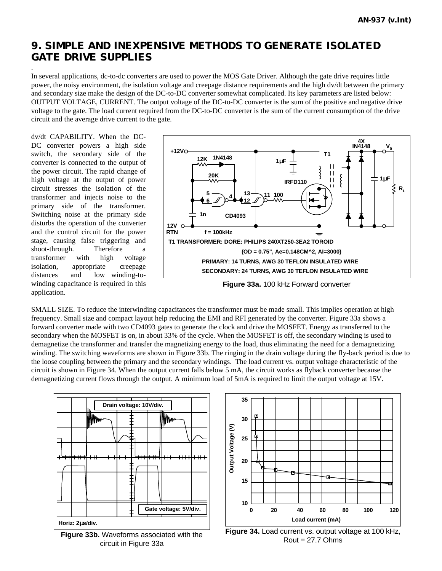### <span id="page-19-0"></span>*9. SIMPLE AND INEXPENSIVE METHODS TO GENERATE ISOLATED GATE DRIVE SUPPLIES*

In several applications, dc-to-dc converters are used to power the MOS Gate Driver. Although the gate drive requires little power, the noisy environment, the isolation voltage and creepage distance requirements and the high dv/dt between the primary and secondary size make the design of the DC-to-DC converter somewhat complicated. Its key parameters are listed below: OUTPUT VOLTAGE, CURRENT. The output voltage of the DC-to-DC converter is the sum of the positive and negative drive voltage to the gate. The load current required from the DC-to-DC converter is the sum of the current consumption of the drive circuit and the average drive current to the gate.

dv/dt CAPABILITY. When the DC-DC converter powers a high side switch, the secondary side of the converter is connected to the output of the power circuit. The rapid change of high voltage at the output of power circuit stresses the isolation of the transformer and injects noise to the primary side of the transformer. Switching noise at the primary side disturbs the operation of the converter and the control circuit for the power stage, causing false triggering and shoot-through. Therefore a transformer with high voltage isolation, appropriate creepage distances and low winding-towinding capacitance is required in this application.

.



**Figure 33a.** 100 kHz Forward converter

SMALL SIZE. To reduce the interwinding capacitances the transformer must be made small. This implies operation at high frequency. Small size and compact layout help reducing the EMI and RFI generated by the converter. Figure 33a shows a forward converter made with two CD4093 gates to generate the clock and drive the MOSFET. Energy as transferred to the secondary when the MOSFET is on, in about 33% of the cycle. When the MOSFET is off, the secondary winding is used to demagnetize the transformer and transfer the magnetizing energy to the load, thus eliminating the need for a demagnetizing winding. The switching waveforms are shown in Figure 33b. The ringing in the drain voltage during the fly-back period is due to the loose coupling between the primary and the secondary windings. The load current vs. output voltage characteristic of the circuit is shown in Figure 34. When the output current falls below 5 mA, the circuit works as flyback converter because the demagnetizing current flows through the output. A minimum load of 5mA is required to limit the output voltage at 15V.



**Figure 33b.** Waveforms associated with the circuit in Figure 33a



**Figure 34.** Load current vs. output voltage at 100 kHz,  $Rout = 27.7$  Ohms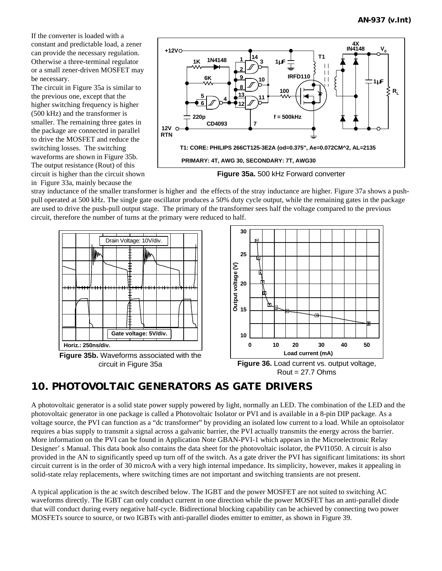<span id="page-20-0"></span>If the converter is loaded with a constant and predictable load, a zener can provide the necessary regulation. Otherwise a three-terminal regulator or a small zener-driven MOSFET may be necessary.

The circuit in Figure 35a is similar to the previous one, except that the higher switching frequency is higher (500 kHz) and the transformer is smaller. The remaining three gates in the package are connected in parallel to drive the MOSFET and reduce the switching losses. The switching waveforms are shown in Figure 35b. The output resistance (Rout) of this circuit is higher than the circuit shown in Figure 33a, mainly because the



stray inductance of the smaller transformer is higher and the effects of the stray inductance are higher. Figure 37a shows a pushpull operated at 500 kHz. The single gate oscillator produces a 50% duty cycle output, while the remaining gates in the package are used to drive the push-pull output stage. The primary of the transformer sees half the voltage compared to the previous circuit, therefore the number of turns at the primary were reduced to half.



**Figure 35b.** Waveforms associated with the circuit in Figure 35a



**Figure 36.** Load current vs. output voltage, Rout =  $27.7$  Ohms

### *10. PHOTOVOLTAIC GENERATORS AS GATE DRIVERS*

A photovoltaic generator is a solid state power supply powered by light, normally an LED. The combination of the LED and the photovoltaic generator in one package is called a Photovoltaic Isolator or PVI and is available in a 8-pin DIP package. As a voltage source, the PVI can function as a "dc transformer" by providing an isolated low current to a load. While an optoisolator requires a bias supply to transmit a signal across a galvanic barrier, the PVI actually transmits the energy across the barrier. More information on the PVI can be found in Application Note GBAN-PVI-1 which appears in the Microelectronic Relay Designer' s Manual. This data book also contains the data sheet for the photovoltaic isolator, the PVI1050. A circuit is also provided in the AN to significantly speed up turn off of the switch. As a gate driver the PVI has significant limitations: its short circuit current is in the order of 30 microA with a very high internal impedance. Its simplicity, however, makes it appealing in solid-state relay replacements, where switching times are not important and switching transients are not present.

A typical application is the ac switch described below. The IGBT and the power MOSFET are not suited to switching AC waveforms directly. The IGBT can only conduct current in one direction while the power MOSFET has an anti-parallel diode that will conduct during every negative half-cycle. Bidirectional blocking capability can be achieved by connecting two power MOSFETs source to source, or two IGBTs with anti-parallel diodes emitter to emitter, as shown in Figure 39.